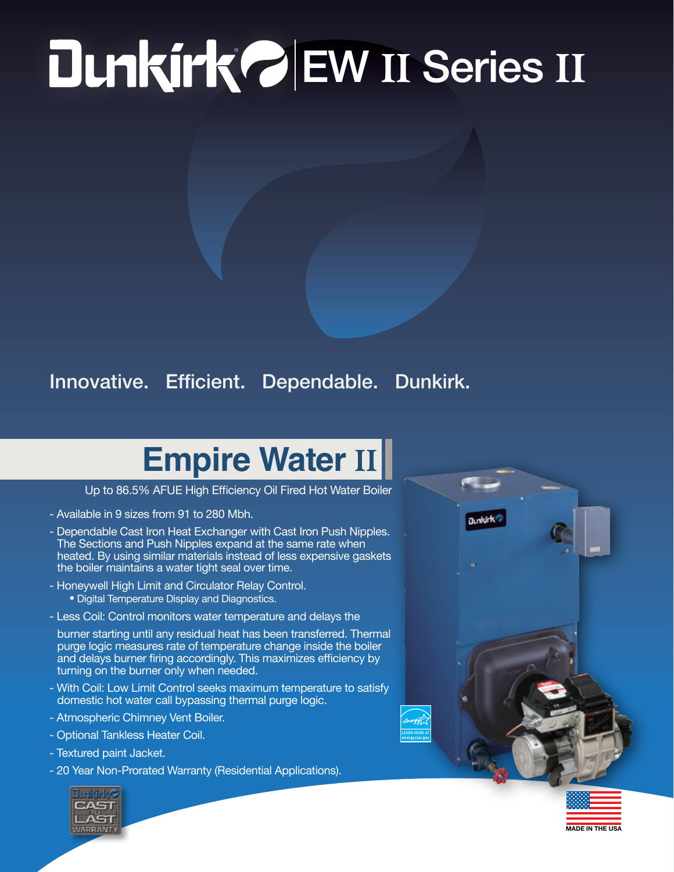## ® EW II Series II

## Innovative. Efficient. Dependable. Dunkirk.

## **Empire Water** II

Up to 86.5% AFUE High Efficiency Oil Fired Hot Water Boiler

- Available in 9 sizes from 91 to 280 Mbh.
- Dependable Cast Iron Heat Exchanger with Cast Iron Push Nipples. The Sections and Push Nipples expand at the same rate when heated. By using similar materials instead of less expensive gaskets the boiler maintains a water tight seal over time.
- Honeywell High Limit and Circulator Relay Control. • Digital Temperature Display and Diagnostics.
- Less Coil: Control monitors water temperature and delays the

burner starting until any residual heat has been transferred. Thermal purge logic measures rate of temperature change inside the boiler and delays burner firing accordingly. This maximizes efficiency by turning on the burner only when needed.

- With Coil: Low Limit Control seeks maximum temperature to satisfy domestic hot water call bypassing thermal purge logic.
- Atmospheric Chimney Vent Boiler.
- Optional Tankless Heater Coil.
- Textured paint Jacket.
- 20 Year Non-Prorated Warranty (Residential Applications).





MADE IN THE USA